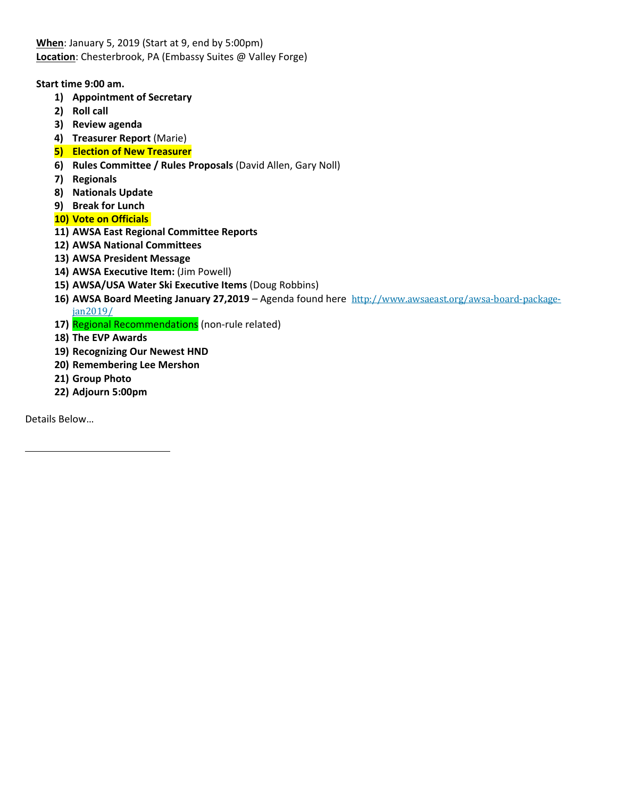**When**: January 5, 2019 (Start at 9, end by 5:00pm) **Location**: Chesterbrook, PA (Embassy Suites @ Valley Forge)

## **Start time 9:00 am.**

- **1) Appointment of Secretary**
- **2) Roll call**
- **3) Review agenda**
- **4) Treasurer Report** (Marie)
- **5) Election of New Treasurer**
- **6) Rules Committee / Rules Proposals** (David Allen, Gary Noll)
- **7) Regionals**
- **8) Nationals Update**
- **9) Break for Lunch**
- **10) Vote on Officials**
- **11) AWSA East Regional Committee Reports**
- **12) AWSA National Committees**
- **13) AWSA President Message**
- **14) AWSA Executive Item:** (Jim Powell)
- **15) AWSA/USA Water Ski Executive Items** (Doug Robbins)
- **16) AWSA Board Meeting January 27,2019** Agenda found here http://www.awsaeast.org/awsa-board-packagejan2019/
- 17) Regional Recommendations (non-rule related)
- **18) The EVP Awards**
- **19) Recognizing Our Newest HND**
- **20) Remembering Lee Mershon**
- **21) Group Photo**
- **22) Adjourn 5:00pm**

Details Below…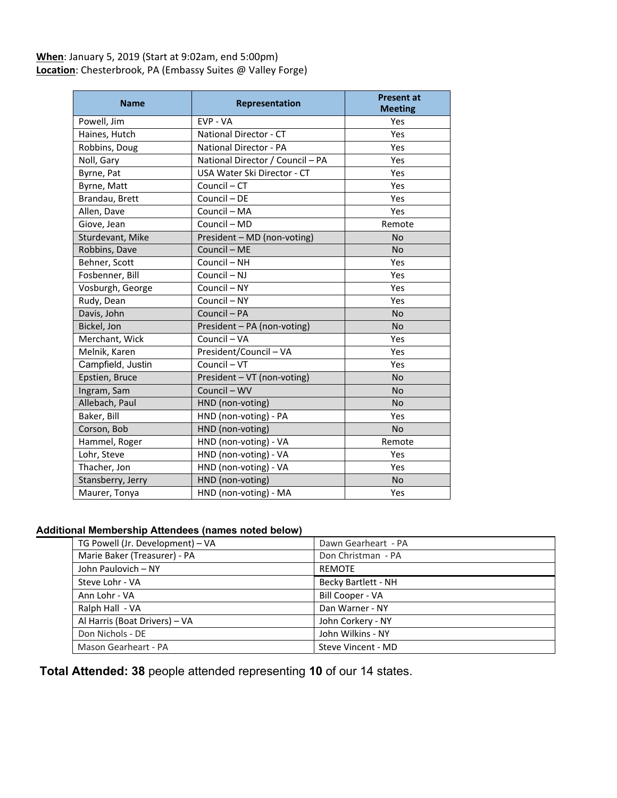# **When**: January 5, 2019 (Start at 9:02am, end 5:00pm) **Location**: Chesterbrook, PA (Embassy Suites @ Valley Forge)

| <b>Name</b>       | <b>Representation</b>            | <b>Present at</b><br><b>Meeting</b> |
|-------------------|----------------------------------|-------------------------------------|
| Powell, Jim       | EVP - VA                         | Yes                                 |
| Haines, Hutch     | National Director - CT           | Yes                                 |
| Robbins, Doug     | <b>National Director - PA</b>    | Yes                                 |
| Noll, Gary        | National Director / Council - PA | Yes                                 |
| Byrne, Pat        | USA Water Ski Director - CT      | Yes                                 |
| Byrne, Matt       | Council - CT                     | Yes                                 |
| Brandau, Brett    | Council - DE                     | Yes                                 |
| Allen, Dave       | Council - MA                     | Yes                                 |
| Giove, Jean       | Council - MD                     | Remote                              |
| Sturdevant, Mike  | President - MD (non-voting)      | <b>No</b>                           |
| Robbins, Dave     | Council - ME                     | <b>No</b>                           |
| Behner, Scott     | Council - NH                     | Yes                                 |
| Fosbenner, Bill   | Council - NJ                     | Yes                                 |
| Vosburgh, George  | Council - NY                     | Yes                                 |
| Rudy, Dean        | Council - NY                     | Yes                                 |
| Davis, John       | Council - PA                     | <b>No</b>                           |
| Bickel, Jon       | President - PA (non-voting)      | <b>No</b>                           |
| Merchant, Wick    | Council - VA                     | Yes                                 |
| Melnik, Karen     | President/Council - VA           | Yes                                 |
| Campfield, Justin | Council - VT                     | Yes                                 |
| Epstien, Bruce    | President - VT (non-voting)      | <b>No</b>                           |
| Ingram, Sam       | Council - WV                     | <b>No</b>                           |
| Allebach, Paul    | HND (non-voting)                 | <b>No</b>                           |
| Baker, Bill       | HND (non-voting) - PA            | Yes                                 |
| Corson, Bob       | HND (non-voting)                 | <b>No</b>                           |
| Hammel, Roger     | HND (non-voting) - VA            | Remote                              |
| Lohr, Steve       | HND (non-voting) - VA            | Yes                                 |
| Thacher, Jon      | HND (non-voting) - VA            | Yes                                 |
| Stansberry, Jerry | HND (non-voting)                 | No                                  |
| Maurer, Tonya     | HND (non-voting) - MA            | Yes                                 |

#### **Additional Membership Attendees (names noted below)**

| TG Powell (Jr. Development) - VA | Dawn Gearheart - PA |
|----------------------------------|---------------------|
| Marie Baker (Treasurer) - PA     | Don Christman - PA  |
| John Paulovich - NY              | <b>REMOTE</b>       |
| Steve Lohr - VA                  | Becky Bartlett - NH |
| Ann Lohr - VA                    | Bill Cooper - VA    |
| Ralph Hall - VA                  | Dan Warner - NY     |
| Al Harris (Boat Drivers) - VA    | John Corkery - NY   |
| Don Nichols - DE                 | John Wilkins - NY   |
| Mason Gearheart - PA             | Steve Vincent - MD  |

**Total Attended: 38** people attended representing **10** of our 14 states.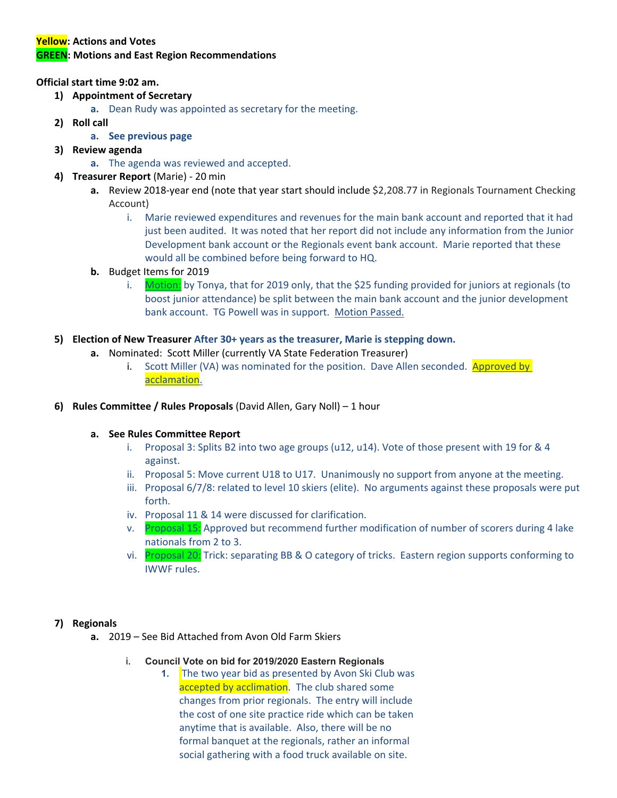# **Yellow: Actions and Votes GREEN: Motions and East Region Recommendations**

## **Official start time 9:02 am.**

# **1) Appointment of Secretary**

- **a.** Dean Rudy was appointed as secretary for the meeting.
- **2) Roll call** 
	- **a. See previous page**
- **3) Review agenda** 
	- **a.** The agenda was reviewed and accepted.
- **4) Treasurer Report** (Marie) 20 min
	- **a.** Review 2018-year end (note that year start should include \$2,208.77 in Regionals Tournament Checking Account)
		- i. Marie reviewed expenditures and revenues for the main bank account and reported that it had just been audited. It was noted that her report did not include any information from the Junior Development bank account or the Regionals event bank account. Marie reported that these would all be combined before being forward to HQ.

## **b.** Budget Items for 2019

i. Motion: by Tonya, that for 2019 only, that the \$25 funding provided for juniors at regionals (to boost junior attendance) be split between the main bank account and the junior development bank account. TG Powell was in support. Motion Passed.

#### **5) Election of New Treasurer After 30+ years as the treasurer, Marie is stepping down.**

- **a.** Nominated: Scott Miller (currently VA State Federation Treasurer)
	- i. Scott Miller (VA) was nominated for the position. Dave Allen seconded. Approved by acclamation.
- **6) Rules Committee / Rules Proposals** (David Allen, Gary Noll) 1 hour

#### **a. See Rules Committee Report**

- i. Proposal 3: Splits B2 into two age groups (u12, u14). Vote of those present with 19 for & 4 against.
- ii. Proposal 5: Move current U18 to U17. Unanimously no support from anyone at the meeting.
- iii. Proposal 6/7/8: related to level 10 skiers (elite). No arguments against these proposals were put forth.
- iv. Proposal 11 & 14 were discussed for clarification.
- v. Proposal 15: Approved but recommend further modification of number of scorers during 4 lake nationals from 2 to 3.
- vi. Proposal 20: Trick: separating BB & O category of tricks. Eastern region supports conforming to IWWF rules.

#### **7) Regionals**

- **a.** 2019 See Bid Attached from Avon Old Farm Skiers
	- i. **Council Vote on bid for 2019/2020 Eastern Regionals**
		- **1.** The two year bid as presented by Avon Ski Club was accepted by acclimation. The club shared some changes from prior regionals. The entry will include the cost of one site practice ride which can be taken anytime that is available. Also, there will be no formal banquet at the regionals, rather an informal social gathering with a food truck available on site.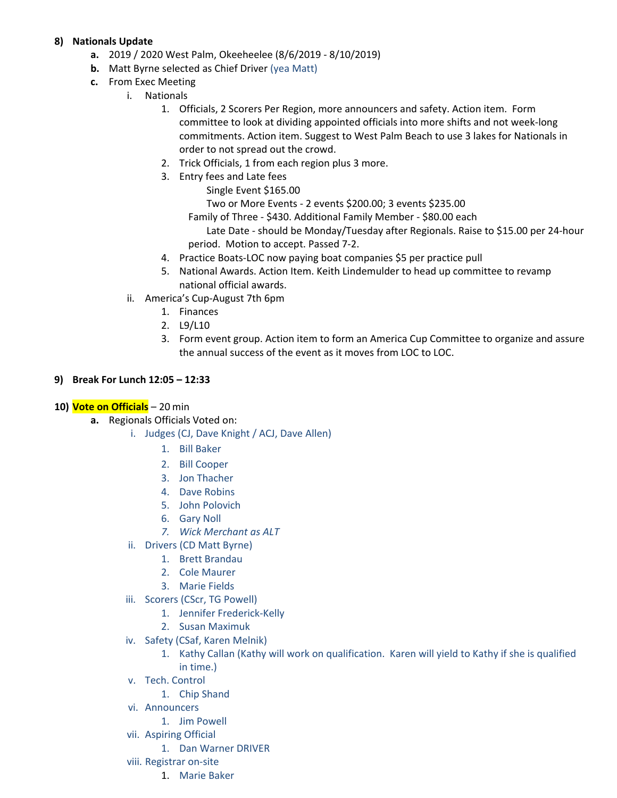# **8) Nationals Update**

- **a.** 2019 / 2020 West Palm, Okeeheelee (8/6/2019 8/10/2019)
- **b.** Matt Byrne selected as Chief Driver (yea Matt)
- **c.** From Exec Meeting
	- i. Nationals
		- 1. Officials, 2 Scorers Per Region, more announcers and safety. Action item. Form committee to look at dividing appointed officials into more shifts and not week-long commitments. Action item. Suggest to West Palm Beach to use 3 lakes for Nationals in order to not spread out the crowd.
		- 2. Trick Officials, 1 from each region plus 3 more.
		- 3. Entry fees and Late fees
			- Single Event \$165.00

Two or More Events - 2 events \$200.00; 3 events \$235.00

Family of Three - \$430. Additional Family Member - \$80.00 each

Late Date - should be Monday/Tuesday after Regionals. Raise to \$15.00 per 24-hour period. Motion to accept. Passed 7-2.

- 4. Practice Boats-LOC now paying boat companies \$5 per practice pull
- 5. National Awards. Action Item. Keith Lindemulder to head up committee to revamp national official awards.
- ii. America's Cup-August 7th 6pm
	- 1. Finances
	- 2. L9/L10
	- 3. Form event group. Action item to form an America Cup Committee to organize and assure the annual success of the event as it moves from LOC to LOC.

# **9) Break For Lunch 12:05 – 12:33**

#### **10) Vote on Officials** – 20 min

- **a.** Regionals Officials Voted on:
	- i. Judges (CJ, Dave Knight / ACJ, Dave Allen)
		- 1. Bill Baker
		- 2. Bill Cooper
		- 3. Jon Thacher
		- 4. Dave Robins
		- 5. John Polovich
		- 6. Gary Noll
		- *7. Wick Merchant as ALT*
	- ii. Drivers (CD Matt Byrne)
		- 1. Brett Brandau
			- 2. Cole Maurer
			- 3. Marie Fields
	- iii. Scorers (CScr, TG Powell)
		- 1. Jennifer Frederick-Kelly
		- 2. Susan Maximuk
	- iv. Safety (CSaf, Karen Melnik)
		- 1. Kathy Callan (Kathy will work on qualification. Karen will yield to Kathy if she is qualified in time.)
	- v. Tech. Control
		- 1. Chip Shand
	- vi. Announcers
		- 1. Jim Powell
	- vii. Aspiring Official
		- 1. Dan Warner DRIVER
	- viii. Registrar on-site
		- 1. Marie Baker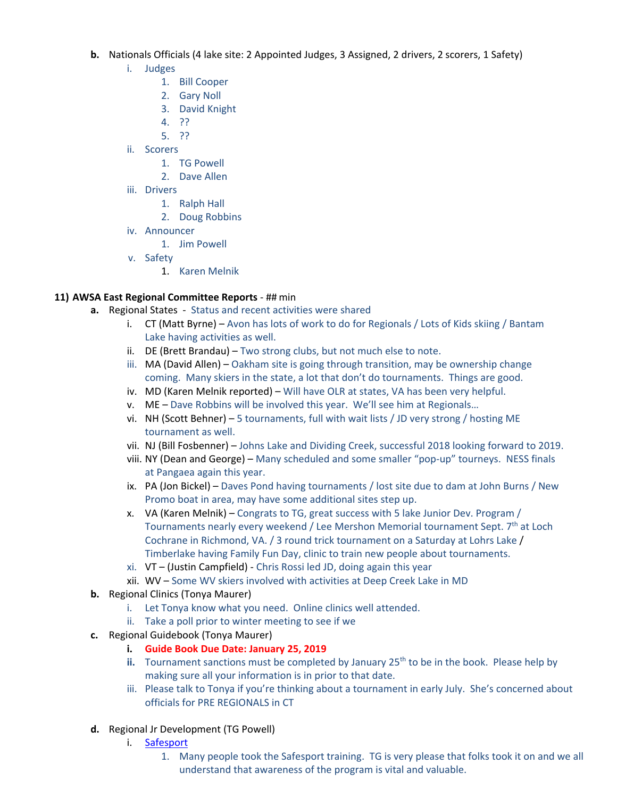- **b.** Nationals Officials (4 lake site: 2 Appointed Judges, 3 Assigned, 2 drivers, 2 scorers, 1 Safety)
	- i. Judges
		- 1. Bill Cooper
		- 2. Gary Noll
		- 3. David Knight
		- 4. ??
		- 5. ??
	- ii. Scorers
		- 1. TG Powell
		- 2. Dave Allen
	- iii. Drivers
		- 1. Ralph Hall
		- 2. Doug Robbins
	- iv. Announcer
		- 1. Jim Powell
	- v. Safety
		- 1. Karen Melnik

#### **11) AWSA East Regional Committee Reports** - ## min

- **a.** Regional States Status and recent activities were shared
	- i. CT (Matt Byrne) Avon has lots of work to do for Regionals / Lots of Kids skiing / Bantam Lake having activities as well.
	- ii. DE (Brett Brandau) Two strong clubs, but not much else to note.
	- iii. MA (David Allen) Oakham site is going through transition, may be ownership change coming. Many skiers in the state, a lot that don't do tournaments. Things are good.
	- iv. MD (Karen Melnik reported) Will have OLR at states, VA has been very helpful.
	- v. ME Dave Robbins will be involved this year. We'll see him at Regionals…
	- vi. NH (Scott Behner) 5 tournaments, full with wait lists / JD very strong / hosting ME tournament as well.
	- vii. NJ (Bill Fosbenner) Johns Lake and Dividing Creek, successful 2018 looking forward to 2019.
	- viii. NY (Dean and George) Many scheduled and some smaller "pop-up" tourneys. NESS finals at Pangaea again this year.
	- ix. PA (Jon Bickel) Daves Pond having tournaments / lost site due to dam at John Burns / New Promo boat in area, may have some additional sites step up.
	- x. VA (Karen Melnik) Congrats to TG, great success with 5 lake Junior Dev. Program / Tournaments nearly every weekend / Lee Mershon Memorial tournament Sept. 7<sup>th</sup> at Loch Cochrane in Richmond, VA. / 3 round trick tournament on a Saturday at Lohrs Lake / Timberlake having Family Fun Day, clinic to train new people about tournaments.
	- xi. VT (Justin Campfield) Chris Rossi led JD, doing again this year
	- xii. WV Some WV skiers involved with activities at Deep Creek Lake in MD
- **b.** Regional Clinics (Tonya Maurer)
	- i. Let Tonya know what you need. Online clinics well attended.
	- ii. Take a poll prior to winter meeting to see if we
- **c.** Regional Guidebook (Tonya Maurer)
	- **i. Guide Book Due Date: January 25, 2019**
	- **ii.** Tournament sanctions must be completed by January  $25<sup>th</sup>$  to be in the book. Please help by making sure all your information is in prior to that date.
	- iii. Please talk to Tonya if you're thinking about a tournament in early July. She's concerned about officials for PRE REGIONALS in CT
- **d.** Regional Jr Development (TG Powell)
	- i. Safesport
		- 1. Many people took the Safesport training. TG is very please that folks took it on and we all understand that awareness of the program is vital and valuable.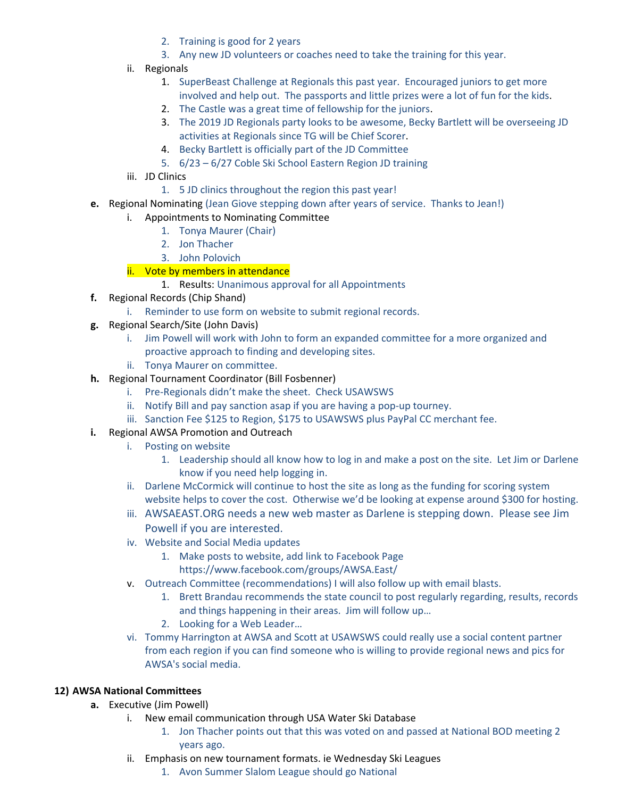- 2. Training is good for 2 years
- 3. Any new JD volunteers or coaches need to take the training for this year.
- ii. Regionals
	- 1. SuperBeast Challenge at Regionals this past year. Encouraged juniors to get more involved and help out. The passports and little prizes were a lot of fun for the kids.
	- 2. The Castle was a great time of fellowship for the juniors.
	- 3. The 2019 JD Regionals party looks to be awesome, Becky Bartlett will be overseeing JD activities at Regionals since TG will be Chief Scorer.
	- 4. Becky Bartlett is officially part of the JD Committee
	- 5. 6/23 6/27 Coble Ski School Eastern Region JD training
- iii. JD Clinics
	- 1. 5 JD clinics throughout the region this past year!
- **e.** Regional Nominating (Jean Giove stepping down after years of service. Thanks to Jean!)
	- i. Appointments to Nominating Committee
		- 1. Tonya Maurer (Chair)
		- 2. Jon Thacher
		- 3. John Polovich

# ii. Vote by members in attendance

- 1. Results: Unanimous approval for all Appointments
- **f.** Regional Records (Chip Shand)
	- i. Reminder to use form on website to submit regional records.
- **g.** Regional Search/Site (John Davis)
	- i. Jim Powell will work with John to form an expanded committee for a more organized and proactive approach to finding and developing sites.
	- ii. Tonya Maurer on committee.
- **h.** Regional Tournament Coordinator (Bill Fosbenner)
	- i. Pre-Regionals didn't make the sheet. Check USAWSWS
	- ii. Notify Bill and pay sanction asap if you are having a pop-up tourney.
	- iii. Sanction Fee \$125 to Region, \$175 to USAWSWS plus PayPal CC merchant fee.
- **i.** Regional AWSA Promotion and Outreach
	- i. Posting on website
		- 1. Leadership should all know how to log in and make a post on the site. Let Jim or Darlene know if you need help logging in.
	- ii. Darlene McCormick will continue to host the site as long as the funding for scoring system website helps to cover the cost. Otherwise we'd be looking at expense around \$300 for hosting.
	- iii. AWSAEAST.ORG needs a new web master as Darlene is stepping down. Please see Jim Powell if you are interested.
	- iv. Website and Social Media updates
		- 1. Make posts to website, add link to Facebook Page
			- https://www.facebook.com/groups/AWSA.East/
	- v. Outreach Committee (recommendations) I will also follow up with email blasts.
		- 1. Brett Brandau recommends the state council to post regularly regarding, results, records and things happening in their areas. Jim will follow up…
		- 2. Looking for a Web Leader…
	- vi. Tommy Harrington at AWSA and Scott at USAWSWS could really use a social content partner from each region if you can find someone who is willing to provide regional news and pics for AWSA's social media.

# **12) AWSA National Committees**

- **a.** Executive (Jim Powell)
	- i. New email communication through USA Water Ski Database
		- 1. Jon Thacher points out that this was voted on and passed at National BOD meeting 2 years ago.
	- ii. Emphasis on new tournament formats. ie Wednesday Ski Leagues
		- 1. Avon Summer Slalom League should go National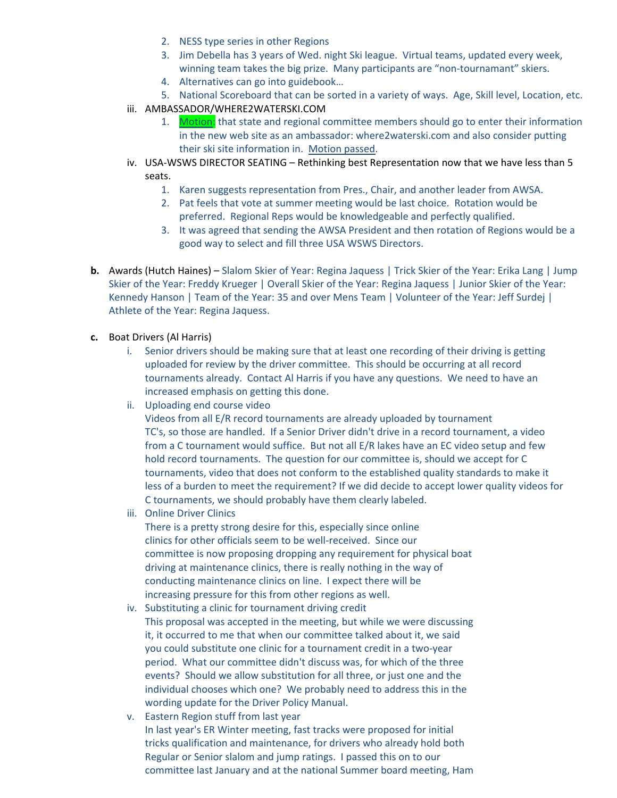- 2. NESS type series in other Regions
- 3. Jim Debella has 3 years of Wed. night Ski league. Virtual teams, updated every week, winning team takes the big prize. Many participants are "non-tournamant" skiers.
- 4. Alternatives can go into guidebook…
- 5. National Scoreboard that can be sorted in a variety of ways. Age, Skill level, Location, etc.
- iii. AMBASSADOR/WHERE2WATERSKI.COM
	- 1. Motion: that state and regional committee members should go to enter their information in the new web site as an ambassador: where2waterski.com and also consider putting their ski site information in. Motion passed.
- iv. USA-WSWS DIRECTOR SEATING Rethinking best Representation now that we have less than 5 seats.
	- 1. Karen suggests representation from Pres., Chair, and another leader from AWSA.
	- 2. Pat feels that vote at summer meeting would be last choice. Rotation would be preferred. Regional Reps would be knowledgeable and perfectly qualified.
	- 3. It was agreed that sending the AWSA President and then rotation of Regions would be a good way to select and fill three USA WSWS Directors.
- **b.** Awards (Hutch Haines) Slalom Skier of Year: Regina Jaquess | Trick Skier of the Year: Erika Lang | Jump Skier of the Year: Freddy Krueger | Overall Skier of the Year: Regina Jaquess | Junior Skier of the Year: Kennedy Hanson | Team of the Year: 35 and over Mens Team | Volunteer of the Year: Jeff Surdej | Athlete of the Year: Regina Jaquess.
- **c.** Boat Drivers (Al Harris)
	- i. Senior drivers should be making sure that at least one recording of their driving is getting uploaded for review by the driver committee. This should be occurring at all record tournaments already. Contact Al Harris if you have any questions. We need to have an increased emphasis on getting this done.
	- ii. Uploading end course video

Videos from all E/R record tournaments are already uploaded by tournament TC's, so those are handled. If a Senior Driver didn't drive in a record tournament, a video from a C tournament would suffice. But not all E/R lakes have an EC video setup and few hold record tournaments. The question for our committee is, should we accept for C tournaments, video that does not conform to the established quality standards to make it less of a burden to meet the requirement? If we did decide to accept lower quality videos for C tournaments, we should probably have them clearly labeled.

iii. Online Driver Clinics

There is a pretty strong desire for this, especially since online clinics for other officials seem to be well-received. Since our committee is now proposing dropping any requirement for physical boat driving at maintenance clinics, there is really nothing in the way of conducting maintenance clinics on line. I expect there will be increasing pressure for this from other regions as well.

- iv. Substituting a clinic for tournament driving credit This proposal was accepted in the meeting, but while we were discussing it, it occurred to me that when our committee talked about it, we said you could substitute one clinic for a tournament credit in a two-year period. What our committee didn't discuss was, for which of the three events? Should we allow substitution for all three, or just one and the individual chooses which one? We probably need to address this in the wording update for the Driver Policy Manual.
- v. Eastern Region stuff from last year In last year's ER Winter meeting, fast tracks were proposed for initial tricks qualification and maintenance, for drivers who already hold both Regular or Senior slalom and jump ratings. I passed this on to our committee last January and at the national Summer board meeting, Ham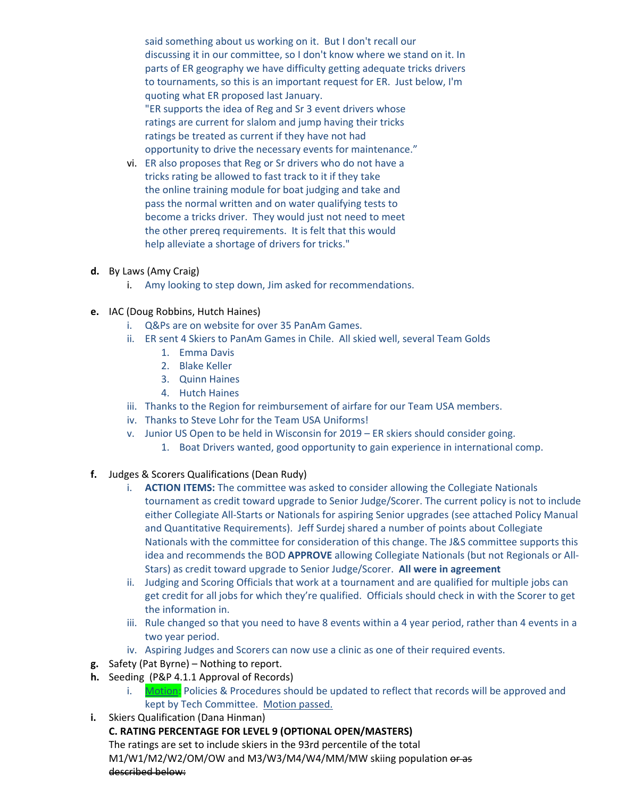said something about us working on it. But I don't recall our discussing it in our committee, so I don't know where we stand on it. In parts of ER geography we have difficulty getting adequate tricks drivers to tournaments, so this is an important request for ER. Just below, I'm quoting what ER proposed last January. "ER supports the idea of Reg and Sr 3 event drivers whose ratings are current for slalom and jump having their tricks ratings be treated as current if they have not had opportunity to drive the necessary events for maintenance."

- vi. ER also proposes that Reg or Sr drivers who do not have a tricks rating be allowed to fast track to it if they take the online training module for boat judging and take and pass the normal written and on water qualifying tests to become a tricks driver. They would just not need to meet the other prereq requirements. It is felt that this would help alleviate a shortage of drivers for tricks."
- **d.** By Laws (Amy Craig)
	- i. Amy looking to step down, Jim asked for recommendations.
- **e.** IAC (Doug Robbins, Hutch Haines)
	- i. Q&Ps are on website for over 35 PanAm Games.
	- ii. ER sent 4 Skiers to PanAm Games in Chile. All skied well, several Team Golds
		- 1. Emma Davis
		- 2. Blake Keller
		- 3. Quinn Haines
		- 4. Hutch Haines
	- iii. Thanks to the Region for reimbursement of airfare for our Team USA members.
	- iv. Thanks to Steve Lohr for the Team USA Uniforms!
	- v. Junior US Open to be held in Wisconsin for 2019 ER skiers should consider going.
		- 1. Boat Drivers wanted, good opportunity to gain experience in international comp.
- **f.** Judges & Scorers Qualifications (Dean Rudy)
	- i. **ACTION ITEMS:** The committee was asked to consider allowing the Collegiate Nationals tournament as credit toward upgrade to Senior Judge/Scorer. The current policy is not to include either Collegiate All-Starts or Nationals for aspiring Senior upgrades (see attached Policy Manual and Quantitative Requirements). Jeff Surdej shared a number of points about Collegiate Nationals with the committee for consideration of this change. The J&S committee supports this idea and recommends the BOD **APPROVE** allowing Collegiate Nationals (but not Regionals or All-Stars) as credit toward upgrade to Senior Judge/Scorer. **All were in agreement**
	- ii. Judging and Scoring Officials that work at a tournament and are qualified for multiple jobs can get credit for all jobs for which they're qualified. Officials should check in with the Scorer to get the information in.
	- iii. Rule changed so that you need to have 8 events within a 4 year period, rather than 4 events in a two year period.
	- iv. Aspiring Judges and Scorers can now use a clinic as one of their required events.
- **g.** Safety (Pat Byrne) Nothing to report.
- **h.** Seeding (P&P 4.1.1 Approval of Records)
	- i. Motion: Policies & Procedures should be updated to reflect that records will be approved and kept by Tech Committee. Motion passed.
- **i.** Skiers Qualification (Dana Hinman)
	- **C. RATING PERCENTAGE FOR LEVEL 9 (OPTIONAL OPEN/MASTERS)**  The ratings are set to include skiers in the 93rd percentile of the total M1/W1/M2/W2/OM/OW and M3/W3/M4/W4/MM/MW skiing population or as described below: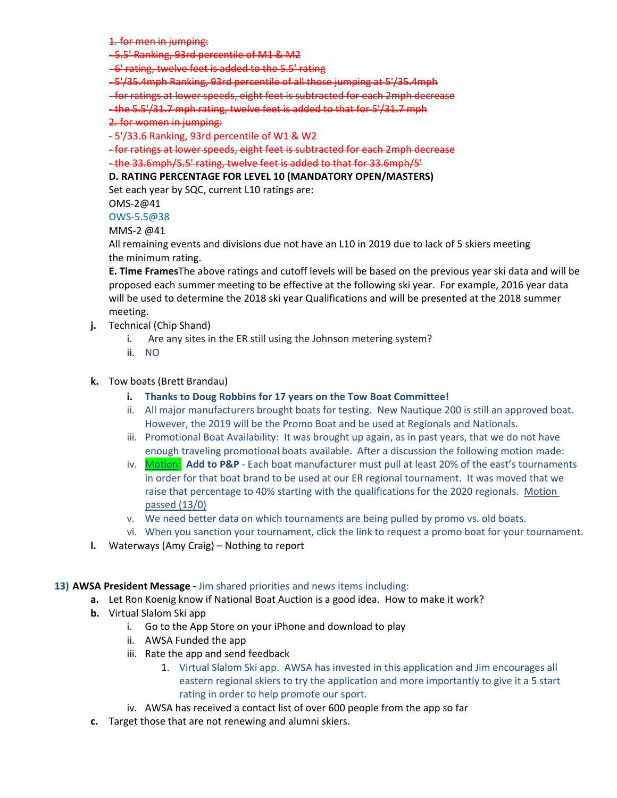1. for men in jumping:

- 5.5' Ranking, 93rd percentile of M1 & M2

- 6' rating, twelve feet is added to the 5.5' rating

- 5'/35.4mph Ranking, 93rd percentile of all those jumping at 5'/35.4mph

- for ratings at lower speeds, eight feet is subtracted for each 2mph decrease

- the 5.5'/31.7 mph rating, twelve feet is added to that for 5'/31.7 mph

2. for women in jumping:

- 5'/33.6 Ranking, 93rd percentile of W1 & W2

- for ratings at lower speeds, eight feet is subtracted for each 2mph decrease - the 33.6mph/5.5' rating, twelve feet is added to that for 33.6mph/5'

#### **D. RATING PERCENTAGE FOR LEVEL 10 (MANDATORY OPEN/MASTERS)**

Set each year by SQC, current L10 ratings are:

OMS-2@41

#### OWS-5.5@38

#### MMS-2 @41

All remaining events and divisions due not have an L10 in 2019 due to lack of 5 skiers meeting the minimum rating.

**E. Time Frames**The above ratings and cutoff levels will be based on the previous year ski data and will be proposed each summer meeting to be effective at the following ski year. For example, 2016 year data will be used to determine the 2018 ski year Qualifications and will be presented at the 2018 summer meeting.

- **j.** Technical (Chip Shand)
	- i. Are any sites in the ER still using the Johnson metering system?
	- ii. NO

#### **k.** Tow boats (Brett Brandau)

- **i. Thanks to Doug Robbins for 17 years on the Tow Boat Committee!**
- ii. All major manufacturers brought boats for testing. New Nautique 200 is still an approved boat. However, the 2019 will be the Promo Boat and be used at Regionals and Nationals.
- iii. Promotional Boat Availability: It was brought up again, as in past years, that we do not have enough traveling promotional boats available. After a discussion the following motion made:
- iv. Motion: **Add to P&P** Each boat manufacturer must pull at least 20% of the east's tournaments in order for that boat brand to be used at our ER regional tournament. It was moved that we raise that percentage to 40% starting with the qualifications for the 2020 regionals. Motion passed (13/0)
- v. We need better data on which tournaments are being pulled by promo vs. old boats.
- vi. When you sanction your tournament, click the link to request a promo boat for your tournament.
- **l.** Waterways (Amy Craig) Nothing to report

#### **13) AWSA President Message -** Jim shared priorities and news items including:

- **a.** Let Ron Koenig know if National Boat Auction is a good idea. How to make it work?
- **b.** Virtual Slalom Ski app
	- i. Go to the App Store on your iPhone and download to play
	- ii. AWSA Funded the app
	- iii. Rate the app and send feedback
		- 1. Virtual Slalom Ski app. AWSA has invested in this application and Jim encourages all eastern regional skiers to try the application and more importantly to give it a 5 start rating in order to help promote our sport.
	- iv. AWSA has received a contact list of over 600 people from the app so far
- **c.** Target those that are not renewing and alumni skiers.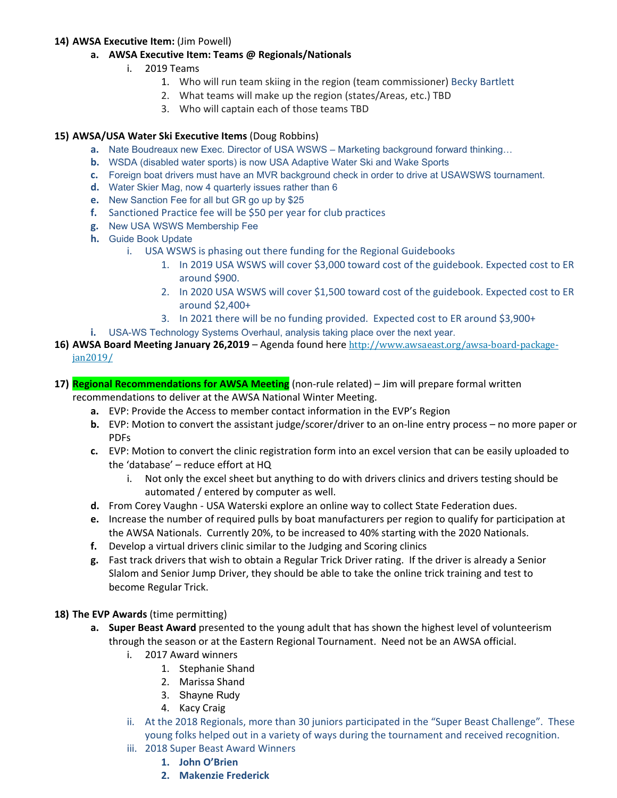## **14) AWSA Executive Item:** (Jim Powell)

- **a. AWSA Executive Item: Teams @ Regionals/Nationals**
	- i. 2019 Teams
		- 1. Who will run team skiing in the region (team commissioner) Becky Bartlett
		- 2. What teams will make up the region (states/Areas, etc.) TBD
		- 3. Who will captain each of those teams TBD

# **15) AWSA/USA Water Ski Executive Items** (Doug Robbins)

- **a.** Nate Boudreaux new Exec. Director of USA WSWS Marketing background forward thinking…
- **b.** WSDA (disabled water sports) is now USA Adaptive Water Ski and Wake Sports
- **c.** Foreign boat drivers must have an MVR background check in order to drive at USAWSWS tournament.
- **d.** Water Skier Mag, now 4 quarterly issues rather than 6
- **e.** New Sanction Fee for all but GR go up by \$25
- **f.** Sanctioned Practice fee will be \$50 per year for club practices
- **g.** New USA WSWS Membership Fee
- **h.** Guide Book Update
	- i. USA WSWS is phasing out there funding for the Regional Guidebooks
		- 1. In 2019 USA WSWS will cover \$3,000 toward cost of the guidebook. Expected cost to ER around \$900.
		- 2. In 2020 USA WSWS will cover \$1,500 toward cost of the guidebook. Expected cost to ER around \$2,400+
		- 3. In 2021 there will be no funding provided. Expected cost to ER around \$3,900+
- **i.** USA-WS Technology Systems Overhaul, analysis taking place over the next year.
- **16) AWSA Board Meeting January 26,2019** Agenda found here http://www.awsaeast.org/awsa-board-packagejan2019/
- **17) Regional Recommendations for AWSA Meeting** (non-rule related) Jim will prepare formal written recommendations to deliver at the AWSA National Winter Meeting.
	- **a.** EVP: Provide the Access to member contact information in the EVP's Region
	- **b.** EVP: Motion to convert the assistant judge/scorer/driver to an on-line entry process no more paper or PDFs
	- **c.** EVP: Motion to convert the clinic registration form into an excel version that can be easily uploaded to the 'database' – reduce effort at HQ
		- i. Not only the excel sheet but anything to do with drivers clinics and drivers testing should be automated / entered by computer as well.
	- **d.** From Corey Vaughn USA Waterski explore an online way to collect State Federation dues.
	- **e.** Increase the number of required pulls by boat manufacturers per region to qualify for participation at the AWSA Nationals. Currently 20%, to be increased to 40% starting with the 2020 Nationals.
	- **f.** Develop a virtual drivers clinic similar to the Judging and Scoring clinics
	- **g.** Fast track drivers that wish to obtain a Regular Trick Driver rating. If the driver is already a Senior Slalom and Senior Jump Driver, they should be able to take the online trick training and test to become Regular Trick.

# **18) The EVP Awards** (time permitting)

- **a. Super Beast Award** presented to the young adult that has shown the highest level of volunteerism through the season or at the Eastern Regional Tournament. Need not be an AWSA official.
	- i. 2017 Award winners
		- 1. Stephanie Shand
		- 2. Marissa Shand
		- 3. Shayne Rudy
		- 4. Kacy Craig
	- ii. At the 2018 Regionals, more than 30 juniors participated in the "Super Beast Challenge". These young folks helped out in a variety of ways during the tournament and received recognition.
	- iii. 2018 Super Beast Award Winners
		- **1. John O'Brien**
		- **2. Makenzie Frederick**